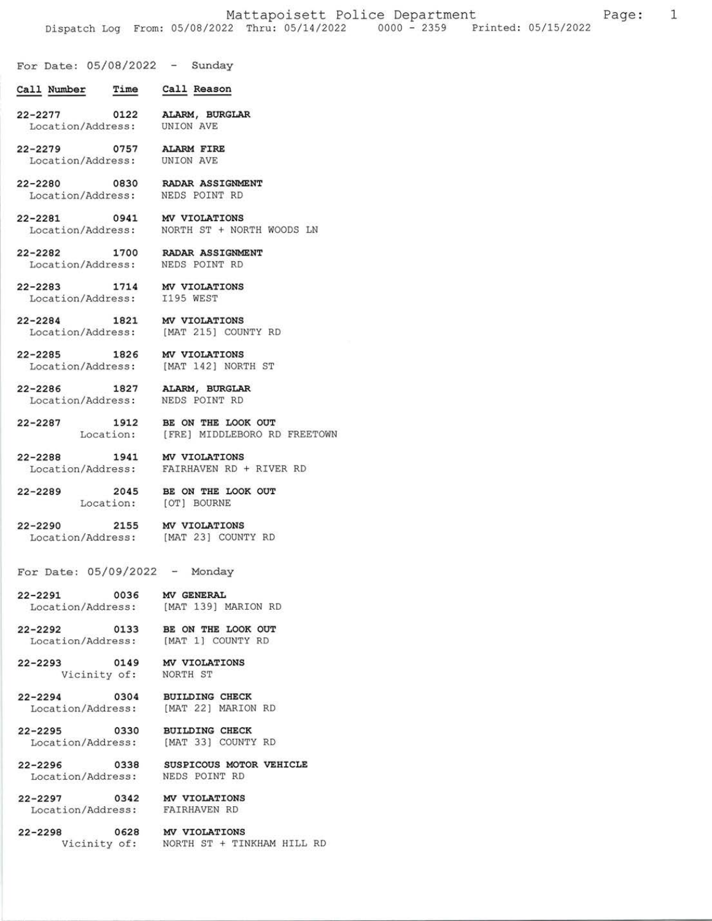$\mathbf{1}$ 

For Date: 05/08/2022 - Sunday

- Ca1I Number Time CaIl Reason
- 22-2277 oL22 Location/Address: ALARM, BURGLAR UNION AVE
- 22-2279 0757 Location/Address: AI.ARM EIRE UNION AVE
- 22-2280 0830 Location/Address: RADAR ASSIGNMENT NEDS POINT RD
- $22 2281$ Location/Address : 0941 MV VIOLATIONS NORTH ST + NORTH WOODS LN
- 22-2282 17 00 Location/Address: RADAR ASSIGNMENT NEDS POTNT RD
- $22 2283$ Location/Address:
	- 1714 MV VIOLATIONS I195 WEST
- $22 2284$ Location/Address: 1821 MV VIOLATIONS IMAT 215] COUNTY RD
- $22 2285$ Location/Address: 1826 MV VIOLATIONS [MAT 142] NORTH ST
- 22-2286 L827 Location/Address: NEDS POINT RD ALARM, BURGLAR
- 22-2287 l9L2 Location: BE ON THE LOOK OUT IFRE] MIDDLEBORO RD FREETOWN
- 22-2288 Location/Address: EATRHAVEN RD + RIVER RD 1941 MV VIOLATIONS
- 22-2289 204s Location: BE ON THE LOOK OUT IOT] BOURNE
- 22-2290 2L55 Location/Address: IMAT 23] COUNTY RD MV VIOLATIONS
- For Date:  $05/09/2022 -$  Monday
- 22-229L 003 <sup>6</sup> Location/Address: MV GENERAL IMAT 139] MARION RD
- 22-2292 Location/Address: [MAT 1] COUNTY RD 0133 BE ON THE LOOK OUT
- 22-2293 <sup>0149</sup> Vicinity of: MV VIOLATIONS
	- NORTH ST
- 22-2294 <sup>0304</sup> Location/Address: [MAT 22] MARION RD BUILDING CHECK
- 22-2295 Location/Address: IMAT 33] COUNTY RD 0330 BUILDING CHECK
- $22 2296$ Location/Address: NEDS POINT RD 0338 SUSPICOUS MOTOR VEHICLE
- 22-2297 0342 Location/Address: FAIRHAVEN RD MV VIOLATIONS
- 22-2298 0628 MV VIOLATIONS
	- Vicinity of: NORTH ST + TINKHAM HILL RD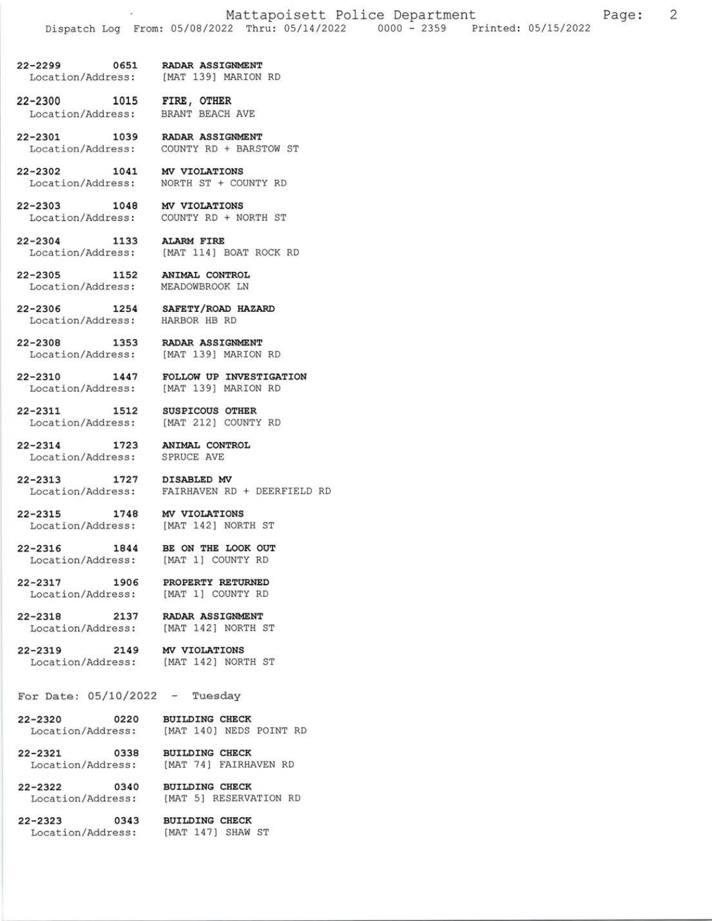22-2299 0651 RADAR ASSIGNMENT<br>Location/Address: [MAT 139] MARION [MAT 139] MARION RD

22-2300 1015 FIRE, OTHER<br>Location/Address: BRANT BEACH AVE Location/Address:

22-2301 1039 RADAR ASSIGNMENT<br>Location/Address: COUNTY RD + BARS COUNTY RD + BARSTOW ST

22-2302 1041 MV VIOLATIONS<br>Location/Address: NORTH ST + COU NORTH ST + COUNTY RD

22-2303 1048 MV VIOLATIONS<br>Location/Address: COUNTY RD + NO COUNTY RD + NORTH ST

22-2304 1133 AIARM FIRE Location/Address: [MAT 114] BOAT ROCK RD

22-2305 1152 ANIMAL CONTROL<br>Location/Address: MEADOWBROOK LN Location/Address:

22-2306 1254 SAFETY/ROAD HAZARD<br>Location/Address: HARBOR HB RD Location/Address:

22-2308 1353 RADAR ASSIGNMENT<br>Location/Address: [MAT 139] MARION

[MAT 139] MARION RD

22-2310 1447 FOLLOW UP INVESTIGATION Location/Address: [MAT 139] MARION RD

22-2311 1512 SUSPICOUS OTHER<br>Location/Address: [MAT 212] COUNTY [MAT 212] COUNTY RD

22-2314 1723 ANIMAL CONTROL<br>Location/Address: SPRUCE AVE Location/Address:

22-2313 1727 DISABLED MV<br>Location/Address: FAIRHAVEN RI FAIRHAVEN RD + DEERFIELD RD

22-2315 1748 MV VIOLATIONS Location/Address: [MAT 142] NORTH ST

22-2316 1844 BE ON THE LOOK OUT Location/Address: [MAT 1] COUNTY RD

22-2317 1906 PROPERTY RETURNED<br>Location/Address: [MAT 1] COUNTY RD [MAT 1] COUNTY RD

22-2318 2137 RADAR ASSIGNMENT Location/Address: [MAT 142] NORTH ST

22-2319 2149 MV VIOLATIONS

Location/Address: [MAT 142] NORTH ST

## For Date:  $05/10/2022 -$  Tuesday

22-2320 0220 BUILDING CHECK<br>Location/Address: [MAT 140] NEDS [MAT 140] NEDS POINT RD

22-232L 0338 BUILDING CHECK Location/Address: IMAT 74] FAIRHAVEN RD

22-2322 0340 BUILDING CHECK<br>Location/Address: [MAT 5] RESERVA [MAT 5] RESERVATION RD

22-2323 0343 BUILDING CHECK Location/Address: [MAT 147] SHAW ST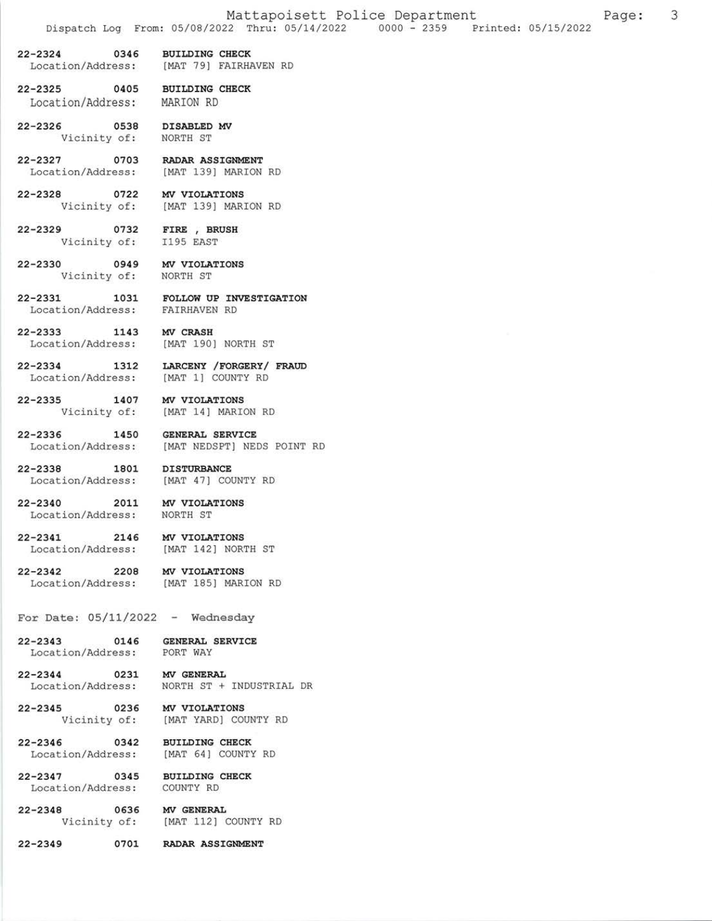- 22-2324 0346 BUILDING CHECK Location/Address: [MAT 79] FAIRHAVEN RD
- 22-2325 O4O5 BUILDING CHECK Location/Address: MARION RD
- 22-2326 0538 DISABLED MV Vicinity of: NORTH ST
- 22-2327 0703 RADAR ASSIGNMENT<br>Location/Address: [MAT 139] MARION RD Location/Address:
- 22-2328 0722 MV VIOLATIONS Vicinity of: IMAT 139] MARION RD
- 22-2329 0732 FIRE, BRUSH<br>Vicinity of: 1195 EAST Vicinity of:
- 22-2330 0949 MV VIOLATIONS Vicinity of: NORTH ST
	-
- 22-2331 1031 FOLLOW UP INVESTIGATION Location/Address: FAIRHAVEN RD
- 22-2333 1143 MV CRASH Location/Address: [MAT 190] NORTH ST
- 22-2334 1312 LARCENY / FORGERY / FRAUD Location/Address: [MAT 1] COUNTY RD
- 22-2335 1407 MV VIOLATIONS<br>Vicinity of: [MAT 14] MARIO
- 22-2336 1450 GENERAL SERVICE Location/Address: [MAT NEDSPT] NEDS POINT RD
- 22-2338 1801 DISTURBANCE Location/Address: [MAT 47] COUNTY RD
- 22-2340 2011 MV VIOLATIONS Location/Address: NoRTH ST
	-

[MAT 14] MARION RD

- 22-2341 2146 MV VIOLATIONS Location/Address: [MAT 142] NORTH ST
- 22-2342 2208 MV VIOLATIONS Location/Address: [MAT 185] MARION RD
- For Date:  $05/11/2022$  Wednesday
- 22-2343 0146 GENERAL SERVICE Location/Address: PORT WAY
- 22-2344 0231 MV GENERAL Location/Address: NORTH ST + INDUSTRIAL DR
- 22-2345 0236 MV VIOLATIONS
	- Vicinity of: IMAT YARD] COUNTY RD
- 22-2346 0342 BUILDING CHECK<br>Location/Address: [MAT 64] COUNTY [MAT 64] COUNTY RD
- 22-2347 0345 BUILDING CHECK Location/Address: COUNTY RD
- 22-2348 0636 MV GENERAL<br>
Vicinity of: [MAT 112] [MAT 112] COUNTY RD
- 22-2349 O7O1 RADAR ASSIGNMENT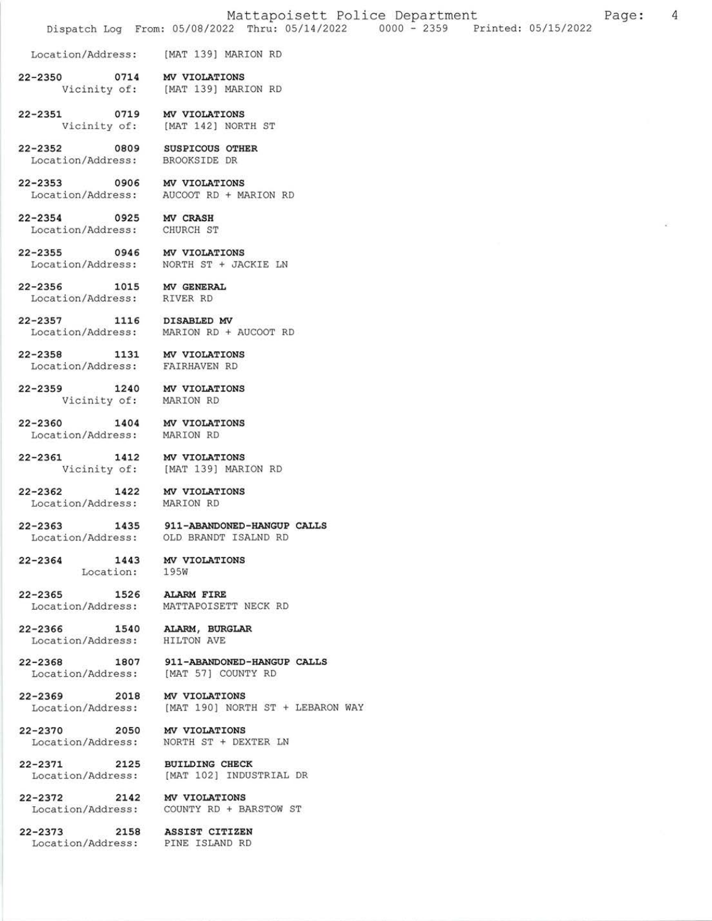- 22-2350 0714 MV VIOLATIONS<br>Vicinity of: [MAT 139] MAR. [MAT 139] MARION RD
- 22-2351 0719 MV VIOLATIONS Vicinity of: [MAT 142] NORTH ST
- 22-2352 0809 SUSPICOUS OTHER<br>Location/Address: BROOKSIDE DR Location/Address:
- 22-2353 0906 MV VIOLATIONS Location/Address: AUCOOT RD + MARION RD
- 22-2354 0925 MV CRASH Location/Address: CHURCH ST
- 22-2355 0946 MV VIOLATIONS<br>Location/Address: NORTH ST + JA NORTH ST + JACKIE LN
- 22-2356 1015 MV GENERAL Location/Address: RIVER RD
	-
- 22-2357 1116 DISABLED MV<br>Location/Address: MARION RD + MARION RD + AUCOOT RD
- 22-2358 1131 MV VIOLATIONS Location/Address: EAIRHAVEN RD
- 22-2359 1240 MV VIOLATIONS Vicinity of: MARION RD
- 22-2360 1404 MV VIOLATIONS<br>Location/Address: MARION RD Location/Address:
- 22-2361 1412 MV VIOLATIONS Vicinity of: IMAT 1391 MARION RD
- 22-2362 1422 MV VIOLATIONS<br>Location/Address: MARION RD
	- Location/Address:
- 22-2363 1435 911-ABANDONED-HANGUP CALLS Location/Address: OLD BRANDT ISALND RD
- 22-2364 1443 MV VIOLATIONS Location: 195W
	-
- 22-2365 1526 ALARM FIRE Location/Address: MATTAPOISETT NECK RD
- 22-2366 1540 ALARM, BURGLAR Location/Address: HILTON AVE
- 22-2368 1807 911-ABANDONED-HANGUP CALLS Location/Address: [MAT 57] COUNTY RD
- 22-2369 2018 MV VIOLATIONS Location/Address: [MAT 190] NORTH ST + LEBARON WAY
- 22-2370 2050 MV VIOLATIONS
- Locatlon/Address: NORTH ST + DEXTER LN
- 22-2371 2125 BUILDING CHECK<br>Location/Address: [MAT 102] INDUS [MAT 102] INDUSTRIAL DR
- 22-2372 2142 MV VIOLATIONS Location/Address: COUNTY RD + BARSTOW ST
- 22-2373 2158 ASSTST CrrrZEN Location/Address: PINE ISLAND RD
-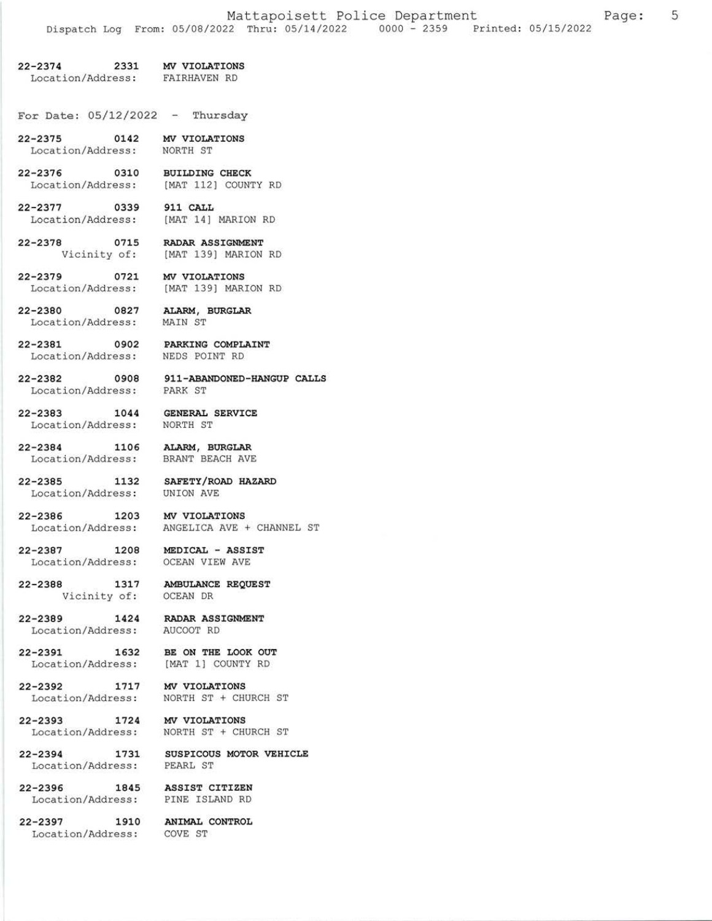## 22-2374 2331 MV VIOLATIONS

Location/Address: EAIRHAVEN RD

For Date:  $05/12/2022$  - Thursday

- 22-2375 0142 MV VIOLATIONS Location/Address: NoRTH ST
- 22-2376 0310 BUILDING CHECK<br>Location/Address: [MAT 112] COUNT [MAT 112] COUNTY RD
- 22-2377 0339 911 CALL<br>Location/Address: [MAT 14] MARION RD Location/Address:
- 22-2378 0715 RADAR ASSIGNMENT Vicinity of: IMAT 139] MARION RD
- 22-2379 0721 MV VIOLATIONS<br>Location/Address: [MAT 139] MAR. [MAT 139] MARION RD
- 22-2380 0827 ALARM, BURGLAR Location/Address: MAIN ST

- 22-2381, O9O2 PARKING COMPLAINT Location/Address: NEDS POINT RD
- 22-2382 0908 911-ABANDONED-HANGUP CALLS Location/Address: PARK ST
- 22-2383 1044 GENERAL SERVICE Location/Address: NoRTH ST
- 22-2384 1106 ALARM, BURGLAR Location/Address: BRANT BEACH AVE
- 22-2385 1132 SAFETY/ROAD HAZARD Location/Address: UNION AVE
- 22-2386 1203 MV VIOLATIONS<br>Location/Address: ANGELICA AVE
- 22-2387 1208 MEDTCAT ASSTSI Location/Address: OCEAN VIEW AVE
- 22-2388 1317 AMBULANCE REQUEST<br>Vicinity of: OCEAN DR Vicinity of:
- 22-2389 1424 RADAR ASSIGNMENT Location/Address: AUCOOT RD
	-
- 22-2391 1632 BE ON THE LOOK OUT<br>Location/Address: [MAT 1] COUNTY RD Location/Address:

ANGELICA AVE + CHANNEL ST

- 22-2392 1717 MV VIOLATIONS Location,/Address: NORTH ST + CHURCH ST
- 22-2393 1724 MV VIOLATIONS Location/Address: NORTH ST + CHURCH ST
- 22-2394 1731 SUSPTCOUS MOTOR VEHTCLE Location/Address: PEARL ST
- 22-2396 1845 ASSIST CITIZEN<br>Location/Address: PINE ISLAND RD Location/Address:
- 22-2397 1910 ANIMAL CONTROL Location/Address: COVE ST
-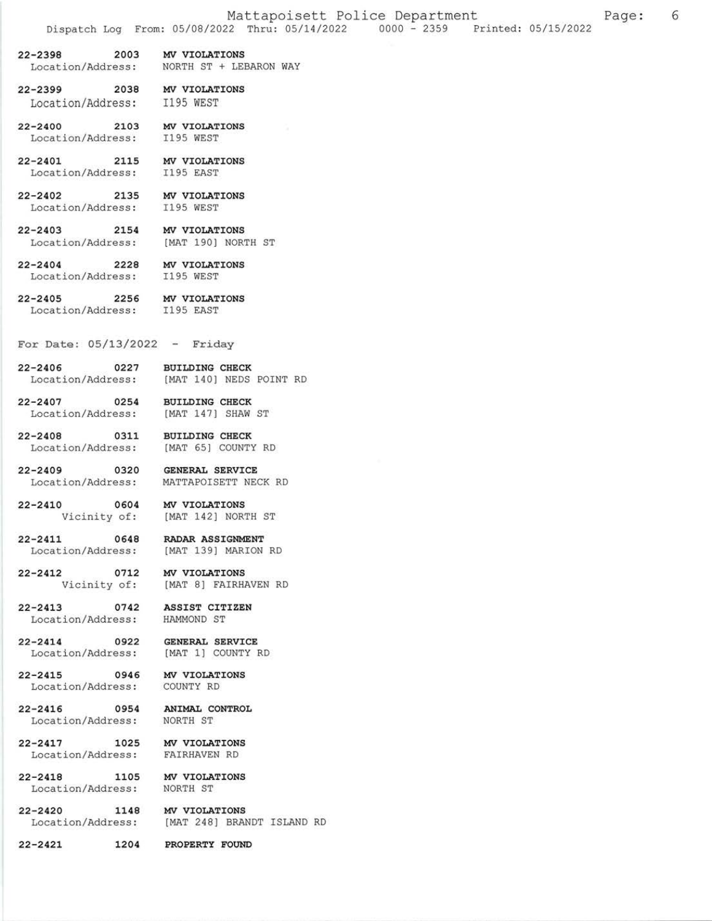22-2398 2003 MV VIOLATIONS

Location/Address: NORTH ST + LEBARON WAY

- 22-2399 2038 MV VIOLATIONS Location/Address: I195 WEST
- 22-2400 2103 MV VIOLATIONS Location/Address: 1195 WEST
- 22-2401 2115 MV VIOLATIONS Location/Address: I195 EAST
- 22-2402 2135 MV VIOLATIONS Location/Address: I195 WEST
- 22-2403 2154 MV VIOLATIONS Location/Address: [MAT 190] NORTH ST
- 22-2404 2228 MV VIOLATIONS Location/Address: I195 WEST
	-
- 22-2405 2256 MV VIOLATIONS Location/Address: I195 EAST
- For Date:  $05/13/2022 -$  Friday
- 22-2406 0227 BUILDING CHECK<br>Location/Address: [MAT 140] NEDS [MAT 140] NEDS POINT RD
- 22-2407 0254 BUILDING CHECK Location/Address: [MAT 147] SHAW ST
- 22-2408 0311 BUILDTNG CHECK Location/Address: [MAT 65] COUNTY RD
- 22-2409 0320 GENERAL SERVICE Location/Address: MATTAPOISETT NECK RD
- 22-2410 0604 MV VIOLATIONS Vicinity of: [MAT 142] NORTH ST
- 22-2411 0648 RADAR ASSIGNMENT<br>Location/Address: [MAT 139] MARION RD Location/Address:
- 22-2412 0712 MV VIOLATIONS<br>Vicinity of: [MAT 8] FAIRH
- 22-2413 0742 ASSIST CITIZEN<br>Location/Address: HAMMOND ST Location/Address:
- 22-2414 0922 GENERAL SERVICE Location/Address: [MAT 1] COUNTY RD
- 22-2415 0946 MV VIOLATIONS Location/Address: COUNTY RD
- 22-2416 0954 ANIMAL CONTROL Location/Address: NORTH ST
- 22-2417 1025 MV VIOLATIONS<br>Location/Address: FAIRHAVEN RD Location/Address:
- 22-2418 1105 MV VIOLATIONS Location/Address: NORTH ST
- 22-2420 1148 MV VIOLATIONS Location/Address: [MAT 248] BRANDT ISLAND RD
	-

[MAT 8] FAIRHAVEN RD

22-2421 1204 PROPERTY FOUND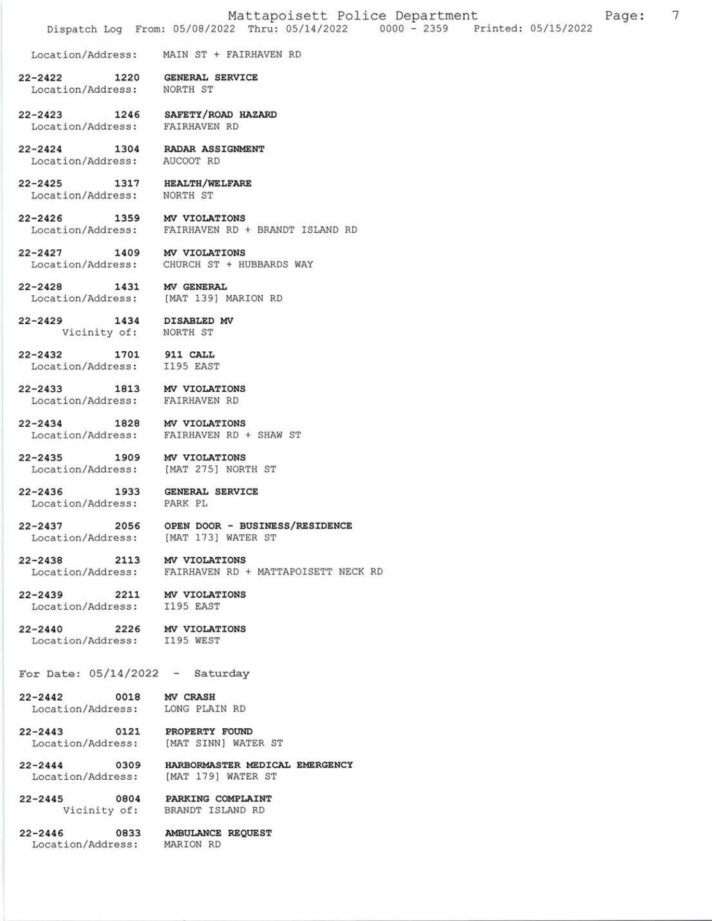Location/Address: MAIN ST + FAIRHAVEN RD

- 22-2422 T22O GENERAL SERVICE Location/Address: NORTH ST
- 22-2423 L246 SAFETY,/ROAD HAZARD Location/Address: EAIRHAVEN RD
- 22-2424 1304 RADAR ASSIGNMENT Location/Address: AUCOOT RD

22-2425 1317 HEAITH,/WELEARE Location/Address: NORTH ST

22-2426 1359 MV VIOLATIONS Location/Address: EAIRHAVEN RD + BRANDT ISLAND RD

22-2427 1409 MV VTOLATTONS

Location/Address: CHURCH ST + HUBBARDS WAY

22-2428 1431 MV GENERAL<br>Location/Address: [MAT 139] N [MAT 139] MARION RD

- 22-2429 1434 DISABLED MV<br>Vicinity of: NORTH ST Vicinity of:
- 22-2432 1701 911 CALL Location/Address: I195 EAST
- 22-2433 1813 MV VIOLATIONS Location/Address: FAIRHAVEN RD
- 22-2434 1828 MV VIOLATIONS Location/Address: FAIRHAVEN RD + SHAW ST
- 22-2435 1909 MV VIOLATIONS Location/Address: [MAT 275] NORTH ST

22-2436 1933 GENERAL SERVICE Location/Address: PARK PL

- 22-2437 2056 OPEN DOOR BUSINESS/RESIDENCE<br>Location/Address: [MAT 173] WATER ST [MAT 173] WATER ST
- 22-2438 2113 MV VIOLATIONS Location/Address: FAIRHAVEN RD + MATTAPOISETT NECK RD
- 22-2439 2211 MV VIOLATIONS<br>Location/Address: I195 EAST Location/Address:
- 22-2440 2226 MV VIOLATIONS<br>Location/Address: I195 WEST Location/Address:
- For Date:  $05/14/2022 -$  Saturday

22-2442 0018 MV CRASH Location/Address: LONG PLAIN RD

22-2443 0121 PROPERTY FOUND Location/Address: [MAT SINN] WATER ST

- 22-2444 0309 HARBORMASTER MEDICAL EMERGENCY Location/Address: [MAT 179] WATER ST
- 22-2445 0804 PARKING COMPLAINT Vicinity of: BRANDT ISLAND RD

22-2446 0833 AMBULANCE REQUEST Location/Address: MARION RD